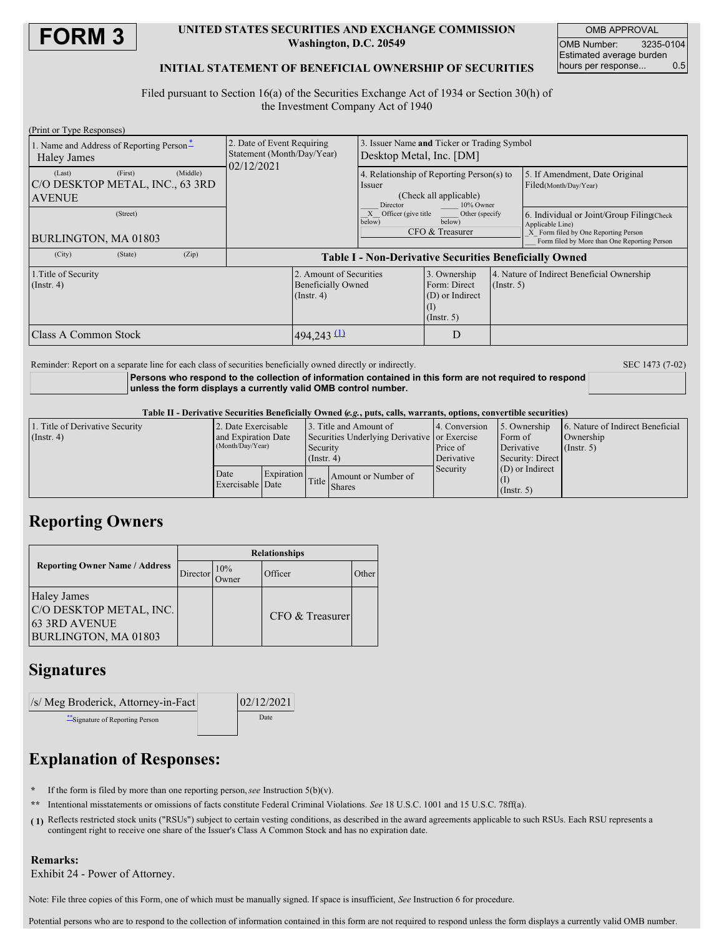

## **UNITED STATES SECURITIES AND EXCHANGE COMMISSION Washington, D.C. 20549**

OMB APPROVAL OMB Number: 3235-0104 Estimated average burden<br>hours per response... 0.5 hours per response...

## **INITIAL STATEMENT OF BENEFICIAL OWNERSHIP OF SECURITIES**

Filed pursuant to Section 16(a) of the Securities Exchange Act of 1934 or Section 30(h) of the Investment Company Act of 1940

| (Print or Type Responses)                                                         |            |                                                                          |                    |                                                                                  |             |                                                                                                                                                       |  |
|-----------------------------------------------------------------------------------|------------|--------------------------------------------------------------------------|--------------------|----------------------------------------------------------------------------------|-------------|-------------------------------------------------------------------------------------------------------------------------------------------------------|--|
| 1. Name and Address of Reporting Person-<br>Haley James                           |            | 2. Date of Event Requiring<br>Statement (Month/Day/Year)                 |                    | Issuer Name and Ticker or Trading Symbol<br>Desktop Metal, Inc. [DM]             |             |                                                                                                                                                       |  |
| (Middle)<br>(First)<br>(Last)<br>C/O DESKTOP METAL, INC., 63 3RD<br><b>AVENUE</b> | 02/12/2021 |                                                                          | Issuer<br>Director | 4. Relationship of Reporting Person(s) to<br>(Check all applicable)<br>10% Owner |             | 5. If Amendment, Date Original<br>Filed(Month/Day/Year)                                                                                               |  |
| (Street)<br>BURLINGTON, MA 01803                                                  |            |                                                                          |                    | X Officer (give title<br>Other (specify)<br>below)<br>below)<br>CFO & Treasurer  |             | 6. Individual or Joint/Group Filing(Check<br>Applicable Line)<br>X Form filed by One Reporting Person<br>Form filed by More than One Reporting Person |  |
| (City)<br>(State)<br>(Zip)                                                        |            | <b>Table I - Non-Derivative Securities Beneficially Owned</b>            |                    |                                                                                  |             |                                                                                                                                                       |  |
| 1. Title of Security<br>$($ Instr. 4 $)$                                          |            | 2. Amount of Securities<br><b>Beneficially Owned</b><br>$($ Instr. 4 $)$ |                    | 3. Ownership<br>Form: Direct<br>(D) or Indirect<br>$($ Instr. 5 $)$              | (Insert, 5) | 4. Nature of Indirect Beneficial Ownership                                                                                                            |  |
| <b>Class A Common Stock</b>                                                       |            | $494,243$ (1)                                                            |                    | D                                                                                |             |                                                                                                                                                       |  |

Reminder: Report on a separate line for each class of securities beneficially owned directly or indirectly. SEC 1473 (7-02)

**Persons who respond to the collection of information contained in this form are not required to respond unless the form displays a currently valid OMB control number.**

### Table II - Derivative Securities Beneficially Owned (e.g., puts, calls, warrants, options, convertible securities)

| 1. Title of Derivative Security |                                         | 2. Date Exercisable |                                                                           | 3. Title and Amount of              | 4. Conversion                                     | 5. Ownership          | 6. Nature of Indirect Beneficial |  |
|---------------------------------|-----------------------------------------|---------------------|---------------------------------------------------------------------------|-------------------------------------|---------------------------------------------------|-----------------------|----------------------------------|--|
| $($ Instr. 4)                   | and Expiration Date<br>(Month/Day/Year) |                     | Securities Underlying Derivative or Exercise<br>Security<br>$($ Instr. 4) |                                     | Price of                                          | Form of<br>Derivative | Ownership<br>$($ Instr. 5 $)$    |  |
|                                 |                                         |                     |                                                                           |                                     | Derivative                                        | Security: Direct      |                                  |  |
|                                 | Date<br>Exercisable Date                | Expiration          |                                                                           | Amount or Number of<br>Title Shares | $(D)$ or Indirect<br>Security<br>$($ Instr. 5 $)$ |                       |                                  |  |

# **Reporting Owners**

|                                                                                               | <b>Relationships</b> |                      |                 |       |  |  |
|-----------------------------------------------------------------------------------------------|----------------------|----------------------|-----------------|-------|--|--|
| <b>Reporting Owner Name / Address</b>                                                         | Director             | 10%<br><b>)</b> wner | Officer         | Other |  |  |
| <b>Haley James</b><br>C/O DESKTOP METAL, INC.<br><b>63 3RD AVENUE</b><br>BURLINGTON, MA 01803 |                      |                      | CFO & Treasurer |       |  |  |

# **Signatures**

| /s/ Meg Broderick, Attorney-in-Fact | 02/12/2021 |  |  |
|-------------------------------------|------------|--|--|
| ** Signature of Reporting Person    | Date       |  |  |

# **Explanation of Responses:**

- If the form is filed by more than one reporting person, *see* Instruction  $5(b)(v)$ .
- **\*\*** Intentional misstatements or omissions of facts constitute Federal Criminal Violations. *See* 18 U.S.C. 1001 and 15 U.S.C. 78ff(a).
- **( 1)** Reflects restricted stock units ("RSUs") subject to certain vesting conditions, as described in the award agreements applicable to such RSUs. Each RSU represents a contingent right to receive one share of the Issuer's Class A Common Stock and has no expiration date.

### **Remarks:**

Exhibit 24 - Power of Attorney.

Note: File three copies of this Form, one of which must be manually signed. If space is insufficient, *See* Instruction 6 for procedure.

Potential persons who are to respond to the collection of information contained in this form are not required to respond unless the form displays a currently valid OMB number.